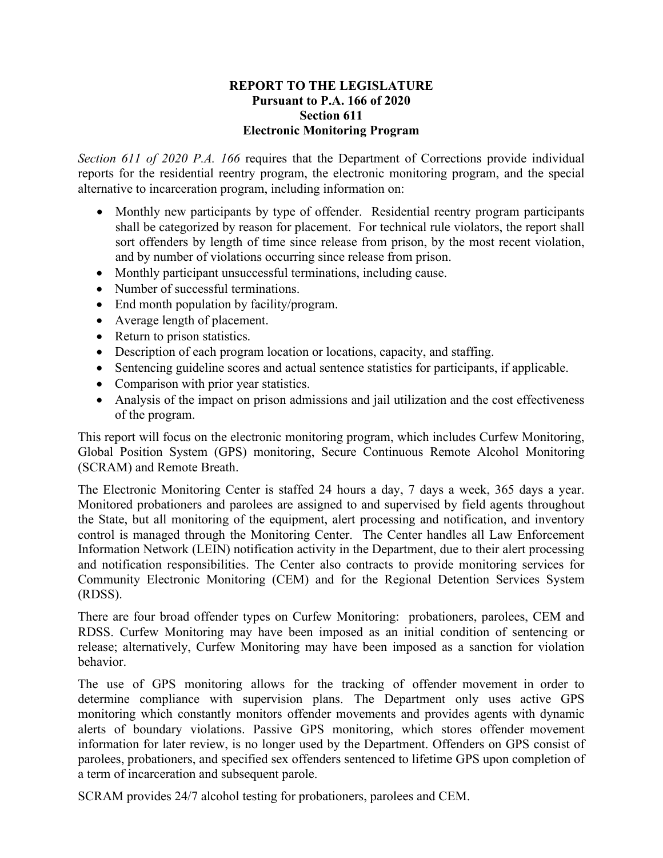## **REPORT TO THE LEGISLATURE Pursuant to P.A. 166 of 2020 Section 611 Electronic Monitoring Program**

*Section 611 of 2020 P.A. 166* requires that the Department of Corrections provide individual reports for the residential reentry program, the electronic monitoring program, and the special alternative to incarceration program, including information on:

- Monthly new participants by type of offender. Residential reentry program participants shall be categorized by reason for placement. For technical rule violators, the report shall sort offenders by length of time since release from prison, by the most recent violation, and by number of violations occurring since release from prison.
- Monthly participant unsuccessful terminations, including cause.
- Number of successful terminations.
- End month population by facility/program.
- Average length of placement.
- Return to prison statistics.
- Description of each program location or locations, capacity, and staffing.
- Sentencing guideline scores and actual sentence statistics for participants, if applicable.
- Comparison with prior year statistics.
- Analysis of the impact on prison admissions and jail utilization and the cost effectiveness of the program.

This report will focus on the electronic monitoring program, which includes Curfew Monitoring, Global Position System (GPS) monitoring, Secure Continuous Remote Alcohol Monitoring (SCRAM) and Remote Breath.

The Electronic Monitoring Center is staffed 24 hours a day, 7 days a week, 365 days a year. Monitored probationers and parolees are assigned to and supervised by field agents throughout the State, but all monitoring of the equipment, alert processing and notification, and inventory control is managed through the Monitoring Center. The Center handles all Law Enforcement Information Network (LEIN) notification activity in the Department, due to their alert processing and notification responsibilities. The Center also contracts to provide monitoring services for Community Electronic Monitoring (CEM) and for the Regional Detention Services System (RDSS).

There are four broad offender types on Curfew Monitoring: probationers, parolees, CEM and RDSS. Curfew Monitoring may have been imposed as an initial condition of sentencing or release; alternatively, Curfew Monitoring may have been imposed as a sanction for violation behavior.

The use of GPS monitoring allows for the tracking of offender movement in order to determine compliance with supervision plans. The Department only uses active GPS monitoring which constantly monitors offender movements and provides agents with dynamic alerts of boundary violations. Passive GPS monitoring, which stores offender movement information for later review, is no longer used by the Department. Offenders on GPS consist of parolees, probationers, and specified sex offenders sentenced to lifetime GPS upon completion of a term of incarceration and subsequent parole.

SCRAM provides 24/7 alcohol testing for probationers, parolees and CEM.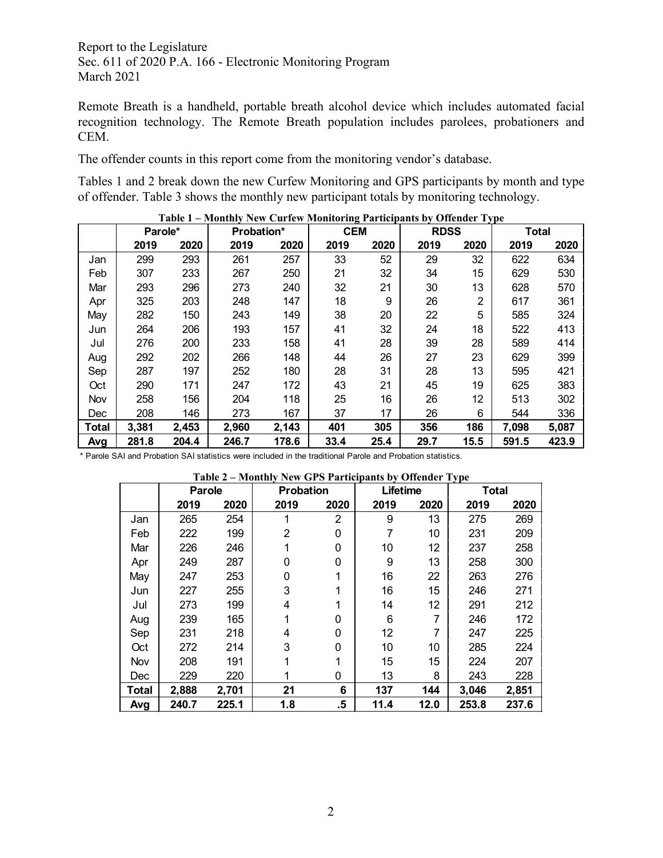Remote Breath is a handheld, portable breath alcohol device which includes automated facial recognition technology. The Remote Breath population includes parolees, probationers and CEM.

The offender counts in this report come from the monitoring vendor's database.

Tables 1 and 2 break down the new Curfew Monitoring and GPS participants by month and type of offender. Table 3 shows the monthly new participant totals by monitoring technology.

|              | Parole* |       | Probation* |       | <b>CEM</b> |      | <b>RDSS</b> |                | <b>Total</b> |       |
|--------------|---------|-------|------------|-------|------------|------|-------------|----------------|--------------|-------|
|              | 2019    | 2020  | 2019       | 2020  | 2019       | 2020 | 2019        | 2020           | 2019         | 2020  |
| Jan          | 299     | 293   | 261        | 257   | 33         | 52   | 29          | 32             | 622          | 634   |
| Feb          | 307     | 233   | 267        | 250   | 21         | 32   | 34          | 15             | 629          | 530   |
| Mar          | 293     | 296   | 273        | 240   | 32         | 21   | 30          | 13             | 628          | 570   |
| Apr          | 325     | 203   | 248        | 147   | 18         | 9    | 26          | $\overline{2}$ | 617          | 361   |
| May          | 282     | 150   | 243        | 149   | 38         | 20   | 22          | 5              | 585          | 324   |
| Jun          | 264     | 206   | 193        | 157   | 41         | 32   | 24          | 18             | 522          | 413   |
| Jul          | 276     | 200   | 233        | 158   | 41         | 28   | 39          | 28             | 589          | 414   |
| Aug          | 292     | 202   | 266        | 148   | 44         | 26   | 27          | 23             | 629          | 399   |
| Sep          | 287     | 197   | 252        | 180   | 28         | 31   | 28          | 13             | 595          | 421   |
| Oct          | 290     | 171   | 247        | 172   | 43         | 21   | 45          | 19             | 625          | 383   |
| Nov          | 258     | 156   | 204        | 118   | 25         | 16   | 26          | 12             | 513          | 302   |
| Dec          | 208     | 146   | 273        | 167   | 37         | 17   | 26          | 6              | 544          | 336   |
| <b>Total</b> | 3,381   | 2,453 | 2,960      | 2,143 | 401        | 305  | 356         | 186            | 7,098        | 5,087 |
| Avg          | 281.8   | 204.4 | 246.7      | 178.6 | 33.4       | 25.4 | 29.7        | 15.5           | 591.5        | 423.9 |

**Table 1 – Monthly New Curfew Monitoring Participants by Offender Type**

\* Parole SAI and Probation SAI statistics were included in the traditional Parole and Probation statistics.

| Table 2 - Monthly New GPS Participants by Offender Type |  |  |
|---------------------------------------------------------|--|--|
|                                                         |  |  |

|       | Parole |       | <b>Probation</b> |                | Lifetime |      | <b>Total</b> |       |
|-------|--------|-------|------------------|----------------|----------|------|--------------|-------|
|       | 2019   | 2020  | 2019             | 2020           | 2019     | 2020 | 2019         | 2020  |
| Jan   | 265    | 254   |                  | $\overline{2}$ | 9        | 13   | 275          | 269   |
| Feb   | 222    | 199   | 2                | 0              | 7        | 10   | 231          | 209   |
| Mar   | 226    | 246   |                  | 0              | 10       | 12   | 237          | 258   |
| Apr   | 249    | 287   | 0                | 0              | 9        | 13   | 258          | 300   |
| May   | 247    | 253   | 0                |                | 16       | 22   | 263          | 276   |
| Jun   | 227    | 255   | 3                |                | 16       | 15   | 246          | 271   |
| Jul   | 273    | 199   | 4                |                | 14       | 12   | 291          | 212   |
| Aug   | 239    | 165   |                  | 0              | 6        | 7    | 246          | 172   |
| Sep   | 231    | 218   | 4                | 0              | 12       | 7    | 247          | 225   |
| Oct   | 272    | 214   | 3                | 0              | 10       | 10   | 285          | 224   |
| Nov   | 208    | 191   |                  |                | 15       | 15   | 224          | 207   |
| Dec   | 229    | 220   |                  | 0              | 13       | 8    | 243          | 228   |
| Total | 2,888  | 2,701 | 21               | 6              | 137      | 144  | 3,046        | 2,851 |
| Avg   | 240.7  | 225.1 | 1.8              | .5             | 11.4     | 12.0 | 253.8        | 237.6 |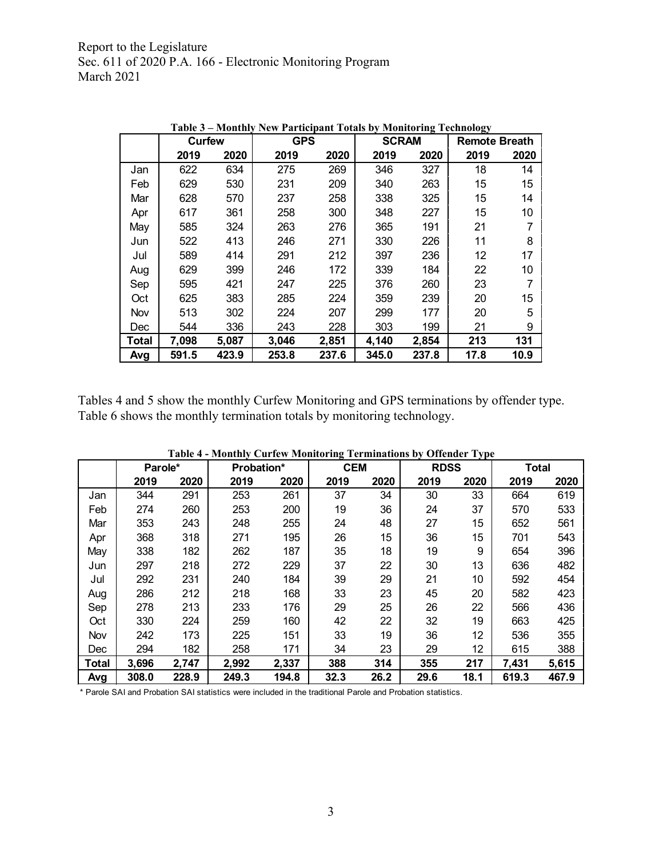|       |               |       |            | Table 3 – Monthly New Participant Totals by Monitoring Technology |              |       |                      |      |  |
|-------|---------------|-------|------------|-------------------------------------------------------------------|--------------|-------|----------------------|------|--|
|       | <b>Curfew</b> |       | <b>GPS</b> |                                                                   | <b>SCRAM</b> |       | <b>Remote Breath</b> |      |  |
|       | 2019          | 2020  | 2019       | 2020                                                              | 2019         | 2020  | 2019                 | 2020 |  |
| Jan   | 622           | 634   | 275        | 269                                                               | 346          | 327   | 18                   | 14   |  |
| Feb   | 629           | 530   | 231        | 209                                                               | 340          | 263   | 15                   | 15   |  |
| Mar   | 628           | 570   | 237        | 258                                                               | 338          | 325   | 15                   | 14   |  |
| Apr   | 617           | 361   | 258        | 300                                                               | 348          | 227   | 15                   | 10   |  |
| May   | 585           | 324   | 263        | 276                                                               | 365          | 191   | 21                   |      |  |
| Jun   | 522           | 413   | 246        | 271                                                               | 330          | 226   | 11                   | 8    |  |
| Jul   | 589           | 414   | 291        | 212                                                               | 397          | 236   | 12                   | 17   |  |
| Aug   | 629           | 399   | 246        | 172                                                               | 339          | 184   | 22                   | 10   |  |
| Sep   | 595           | 421   | 247        | 225                                                               | 376          | 260   | 23                   | 7    |  |
| Oct   | 625           | 383   | 285        | 224                                                               | 359          | 239   | 20                   | 15   |  |
| Nov   | 513           | 302   | 224        | 207                                                               | 299          | 177   | 20                   | 5    |  |
| Dec   | 544           | 336   | 243        | 228                                                               | 303          | 199   | 21                   | 9    |  |
| Total | 7,098         | 5,087 | 3,046      | 2,851                                                             | 4,140        | 2,854 | 213                  | 131  |  |
| Avg   | 591.5         | 423.9 | 253.8      | 237.6                                                             | 345.0        | 237.8 | 17.8                 | 10.9 |  |

**Table 3 – Monthly New Participant Totals by Monitoring Technology** 

Tables 4 and 5 show the monthly Curfew Monitoring and GPS terminations by offender type. Table 6 shows the monthly termination totals by monitoring technology.

|       | Parole* |       | Probation* |       | <b>CEM</b> |      | <b>RDSS</b> | $O$ <i>hvnuvi</i> $I$ <sub>J</sub> $P$ v | Total |       |
|-------|---------|-------|------------|-------|------------|------|-------------|------------------------------------------|-------|-------|
|       | 2019    | 2020  | 2019       | 2020  | 2019       | 2020 | 2019        | 2020                                     | 2019  | 2020  |
| Jan   | 344     | 291   | 253        | 261   | 37         | 34   | 30          | 33                                       | 664   | 619   |
| Feb   | 274     | 260   | 253        | 200   | 19         | 36   | 24          | 37                                       | 570   | 533   |
| Mar   | 353     | 243   | 248        | 255   | 24         | 48   | 27          | 15                                       | 652   | 561   |
| Apr   | 368     | 318   | 271        | 195   | 26         | 15   | 36          | 15                                       | 701   | 543   |
| May   | 338     | 182   | 262        | 187   | 35         | 18   | 19          | 9                                        | 654   | 396   |
| Jun   | 297     | 218   | 272        | 229   | 37         | 22   | 30          | 13                                       | 636   | 482   |
| Jul   | 292     | 231   | 240        | 184   | 39         | 29   | 21          | 10                                       | 592   | 454   |
| Aug   | 286     | 212   | 218        | 168   | 33         | 23   | 45          | 20                                       | 582   | 423   |
| Sep   | 278     | 213   | 233        | 176   | 29         | 25   | 26          | 22                                       | 566   | 436   |
| Oct   | 330     | 224   | 259        | 160   | 42         | 22   | 32          | 19                                       | 663   | 425   |
| Nov   | 242     | 173   | 225        | 151   | 33         | 19   | 36          | 12                                       | 536   | 355   |
| Dec   | 294     | 182   | 258        | 171   | 34         | 23   | 29          | 12                                       | 615   | 388   |
| Total | 3,696   | 2,747 | 2,992      | 2,337 | 388        | 314  | 355         | 217                                      | 7,431 | 5,615 |
| Avg   | 308.0   | 228.9 | 249.3      | 194.8 | 32.3       | 26.2 | 29.6        | 18.1                                     | 619.3 | 467.9 |

**Table 4 - Monthly Curfew Monitoring Terminations by Offender Type**

\* Parole SAI and Probation SAI statistics were included in the traditional Parole and Probation statistics.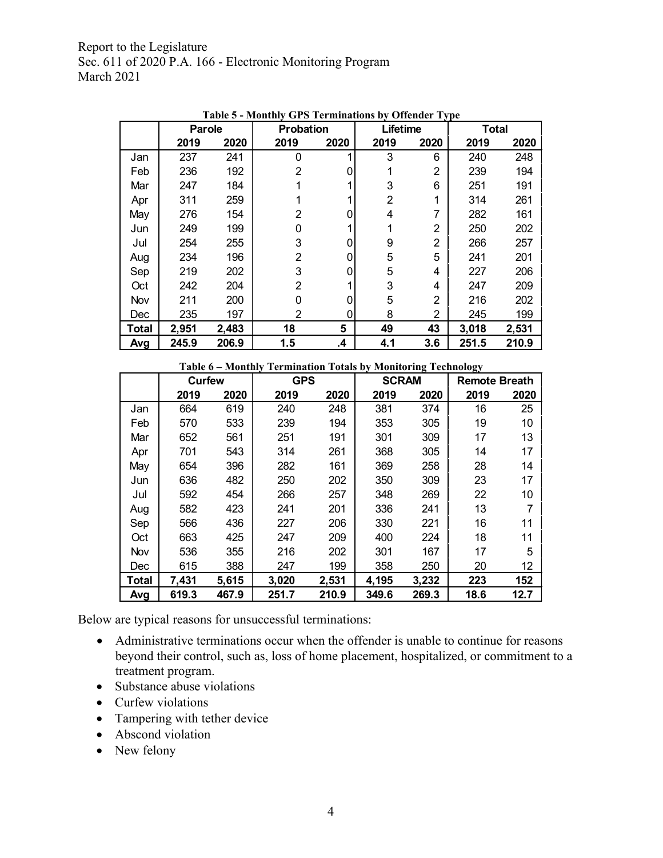|       | <b>Parole</b> |       | <b>Probation</b> |      | $\sigma$ of $\sigma$ is an interesting by orientating type<br>Lifetime |                | <b>Total</b> |       |
|-------|---------------|-------|------------------|------|------------------------------------------------------------------------|----------------|--------------|-------|
|       | 2019          | 2020  | 2019             | 2020 | 2019                                                                   | 2020           | 2019         | 2020  |
| Jan   | 237           | 241   | 0                | 1    | 3                                                                      | 6              | 240          | 248   |
| Feb   | 236           | 192   | 2                |      |                                                                        | $\overline{2}$ | 239          | 194   |
| Mar   | 247           | 184   |                  |      | 3                                                                      | 6              | 251          | 191   |
| Apr   | 311           | 259   |                  |      | 2                                                                      | 1              | 314          | 261   |
| May   | 276           | 154   | $\overline{2}$   | 0    | 4                                                                      | 7              | 282          | 161   |
| Jun   | 249           | 199   | 0                |      |                                                                        | 2              | 250          | 202   |
| Jul   | 254           | 255   | 3                | 0    | 9                                                                      | $\overline{2}$ | 266          | 257   |
| Aug   | 234           | 196   | 2                | 0    | 5                                                                      | 5              | 241          | 201   |
| Sep   | 219           | 202   | 3                | 0    | 5                                                                      | 4              | 227          | 206   |
| Oct   | 242           | 204   | $\overline{2}$   |      | 3                                                                      | 4              | 247          | 209   |
| Nov   | 211           | 200   | 0                | 0    | 5                                                                      | 2              | 216          | 202   |
| Dec   | 235           | 197   | 2                | 0    | 8                                                                      | 2              | 245          | 199   |
| Total | 2,951         | 2,483 | 18               | 5    | 49                                                                     | 43             | 3,018        | 2,531 |
| Avg   | 245.9         | 206.9 | 1.5              | .4   | 4.1                                                                    | 3.6            | 251.5        | 210.9 |

**Table 5 - Monthly GPS Terminations by Offender Type**

|              | Table 6 - Monthly Termination Totals by Monitoring Technology |       |            |       |              |       |                      |      |  |  |
|--------------|---------------------------------------------------------------|-------|------------|-------|--------------|-------|----------------------|------|--|--|
|              | Curfew                                                        |       | <b>GPS</b> |       | <b>SCRAM</b> |       | <b>Remote Breath</b> |      |  |  |
|              | 2019                                                          | 2020  | 2019       | 2020  | 2019         | 2020  | 2019                 | 2020 |  |  |
| Jan          | 664                                                           | 619   | 240        | 248   | 381          | 374   | 16                   | 25   |  |  |
| Feb          | 570                                                           | 533   | 239        | 194   | 353          | 305   | 19                   | 10   |  |  |
| Mar          | 652                                                           | 561   | 251        | 191   | 301          | 309   | 17                   | 13   |  |  |
| Apr          | 701                                                           | 543   | 314        | 261   | 368          | 305   | 14                   | 17   |  |  |
| May          | 654                                                           | 396   | 282        | 161   | 369          | 258   | 28                   | 14   |  |  |
| Jun          | 636                                                           | 482   | 250        | 202   | 350          | 309   | 23                   | 17   |  |  |
| Jul          | 592                                                           | 454   | 266        | 257   | 348          | 269   | 22                   | 10   |  |  |
| Aug          | 582                                                           | 423   | 241        | 201   | 336          | 241   | 13                   | 7    |  |  |
| Sep          | 566                                                           | 436   | 227        | 206   | 330          | 221   | 16                   | 11   |  |  |
| Oct          | 663                                                           | 425   | 247        | 209   | 400          | 224   | 18                   | 11   |  |  |
| Nov          | 536                                                           | 355   | 216        | 202   | 301          | 167   | 17                   | 5    |  |  |
| Dec          | 615                                                           | 388   | 247        | 199   | 358          | 250   | 20                   | 12   |  |  |
| <b>Total</b> | 7,431                                                         | 5,615 | 3,020      | 2,531 | 4,195        | 3,232 | 223                  | 152  |  |  |
| Avg          | 619.3                                                         | 467.9 | 251.7      | 210.9 | 349.6        | 269.3 | 18.6                 | 12.7 |  |  |

Below are typical reasons for unsuccessful terminations:

- Administrative terminations occur when the offender is unable to continue for reasons beyond their control, such as, loss of home placement, hospitalized, or commitment to a treatment program.
- Substance abuse violations
- Curfew violations
- Tampering with tether device
- Abscond violation
- New felony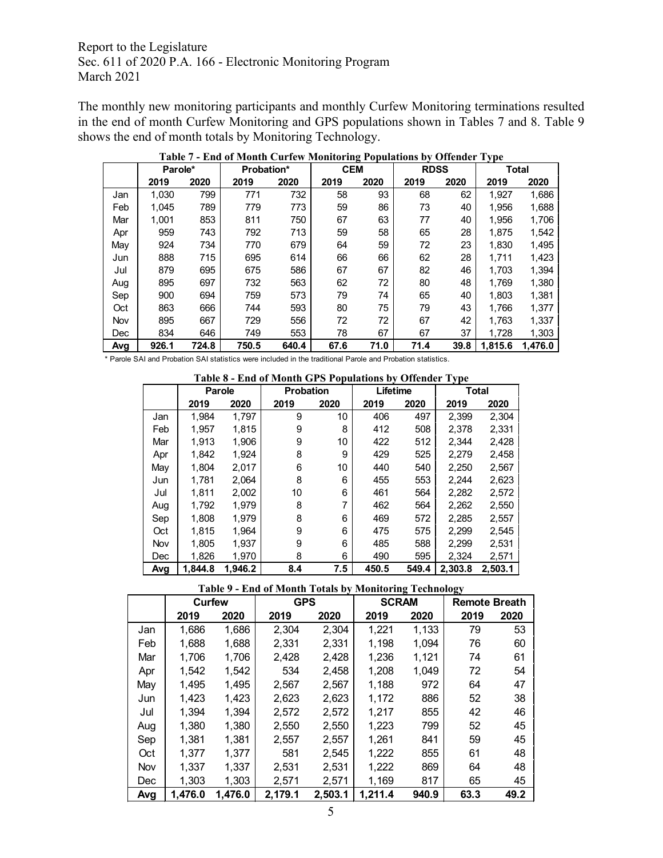The monthly new monitoring participants and monthly Curfew Monitoring terminations resulted in the end of month Curfew Monitoring and GPS populations shown in Tables 7 and 8. Table 9 shows the end of month totals by Monitoring Technology.

|     | Parole* |       | Probation* |       | <b>CEM</b> |      | <b>RDSS</b> |      | <b>Total</b> |         |
|-----|---------|-------|------------|-------|------------|------|-------------|------|--------------|---------|
|     | 2019    | 2020  | 2019       | 2020  | 2019       | 2020 | 2019        | 2020 | 2019         | 2020    |
| Jan | 1,030   | 799   | 771        | 732   | 58         | 93   | 68          | 62   | 1.927        | 1,686   |
| Feb | 1.045   | 789   | 779        | 773   | 59         | 86   | 73          | 40   | 1.956        | 1,688   |
| Mar | 1.001   | 853   | 811        | 750   | 67         | 63   | 77          | 40   | 1,956        | 1,706   |
| Apr | 959     | 743   | 792        | 713   | 59         | 58   | 65          | 28   | 1,875        | 1,542   |
| May | 924     | 734   | 770        | 679   | 64         | 59   | 72          | 23   | 1,830        | 1,495   |
| Jun | 888     | 715   | 695        | 614   | 66         | 66   | 62          | 28   | 1,711        | 1,423   |
| Jul | 879     | 695   | 675        | 586   | 67         | 67   | 82          | 46   | 1.703        | 1,394   |
| Aug | 895     | 697   | 732        | 563   | 62         | 72   | 80          | 48   | 1,769        | 1,380   |
| Sep | 900     | 694   | 759        | 573   | 79         | 74   | 65          | 40   | 1,803        | 1,381   |
| Oct | 863     | 666   | 744        | 593   | 80         | 75   | 79          | 43   | 1.766        | 1,377   |
| Nov | 895     | 667   | 729        | 556   | 72         | 72   | 67          | 42   | 1.763        | 1.337   |
| Dec | 834     | 646   | 749        | 553   | 78         | 67   | 67          | 37   | 1,728        | 1,303   |
| Avg | 926.1   | 724.8 | 750.5      | 640.4 | 67.6       | 71.0 | 71.4        | 39.8 | 1,815.6      | 1.476.0 |

**Table 7 - End of Month Curfew Monitoring Populations by Offender Type**

\* Parole SAI and Probation SAI statistics were included in the traditional Parole and Probation statistics.

|     | Table 8 - End of Month GPS Populations by Offender Type |         |                  |      |          |       |         |         |  |  |
|-----|---------------------------------------------------------|---------|------------------|------|----------|-------|---------|---------|--|--|
|     |                                                         | Parole  | <b>Probation</b> |      | Lifetime |       |         | Total   |  |  |
|     | 2019                                                    | 2020    | 2019             | 2020 | 2019     | 2020  | 2019    | 2020    |  |  |
| Jan | 1.984                                                   | 1.797   | 9                | 10   | 406      | 497   | 2,399   | 2,304   |  |  |
| Feb | 1,957                                                   | 1,815   | 9                | 8    | 412      | 508   | 2,378   | 2,331   |  |  |
| Mar | 1.913                                                   | 1.906   | 9                | 10   | 422      | 512   | 2,344   | 2,428   |  |  |
| Apr | 1.842                                                   | 1.924   | 8                | 9    | 429      | 525   | 2.279   | 2,458   |  |  |
| May | 1.804                                                   | 2,017   | 6                | 10   | 440      | 540   | 2,250   | 2,567   |  |  |
| Jun | 1.781                                                   | 2.064   | 8                | 6    | 455      | 553   | 2,244   | 2,623   |  |  |
| Jul | 1.811                                                   | 2,002   | 10               | 6    | 461      | 564   | 2.282   | 2,572   |  |  |
| Aug | 1.792                                                   | 1.979   | 8                | 7    | 462      | 564   | 2,262   | 2,550   |  |  |
| Sep | 1.808                                                   | 1.979   | 8                | 6    | 469      | 572   | 2.285   | 2,557   |  |  |
| Oct | 1.815                                                   | 1,964   | 9                | 6    | 475      | 575   | 2,299   | 2,545   |  |  |
| Nov | 1.805                                                   | 1.937   | 9                | 6    | 485      | 588   | 2.299   | 2,531   |  |  |
| Dec | 1.826                                                   | 1.970   | 8                | 6    | 490      | 595   | 2,324   | 2,571   |  |  |
| Avg | 1.844.8                                                 | 1.946.2 | 8.4              | 7.5  | 450.5    | 549.4 | 2,303.8 | 2,503.1 |  |  |

**Table 9 - End of Month Totals by Monitoring Technology**

|            |         | <b>Curfew</b> | <b>GPS</b> |         | <b>SCRAM</b> |       | <b>Remote Breath</b> |      |
|------------|---------|---------------|------------|---------|--------------|-------|----------------------|------|
|            | 2019    | 2020          | 2019       | 2020    | 2019         | 2020  | 2019                 | 2020 |
| Jan        | 1,686   | 1,686         | 2,304      | 2,304   | 1,221        | 1,133 | 79                   | 53   |
| Feb        | 1,688   | 1,688         | 2,331      | 2,331   | 1.198        | 1,094 | 76                   | 60   |
| Mar        | 1,706   | 1,706         | 2,428      | 2,428   | 1,236        | 1,121 | 74                   | 61   |
| Apr        | 1,542   | 1,542         | 534        | 2,458   | 1,208        | 1,049 | 72                   | 54   |
| May        | 1.495   | 1,495         | 2,567      | 2,567   | 1.188        | 972   | 64                   | 47   |
| Jun        | 1,423   | 1,423         | 2,623      | 2,623   | 1,172        | 886   | 52                   | 38   |
| Jul        | 1.394   | 1,394         | 2.572      | 2,572   | 1,217        | 855   | 42                   | 46   |
| Aug        | 1,380   | 1,380         | 2,550      | 2,550   | 1,223        | 799   | 52                   | 45   |
| Sep        | 1.381   | 1.381         | 2,557      | 2,557   | 1,261        | 841   | 59                   | 45   |
| Oct        | 1.377   | 1.377         | 581        | 2.545   | 1,222        | 855   | 61                   | 48   |
| <b>Nov</b> | 1.337   | 1.337         | 2,531      | 2,531   | 1,222        | 869   | 64                   | 48   |
| <b>Dec</b> | 1,303   | 1,303         | 2,571      | 2,571   | 1,169        | 817   | 65                   | 45   |
| Avg        | 1.476.0 | 1,476.0       | 2,179.1    | 2,503.1 | 1,211.4      | 940.9 | 63.3                 | 49.2 |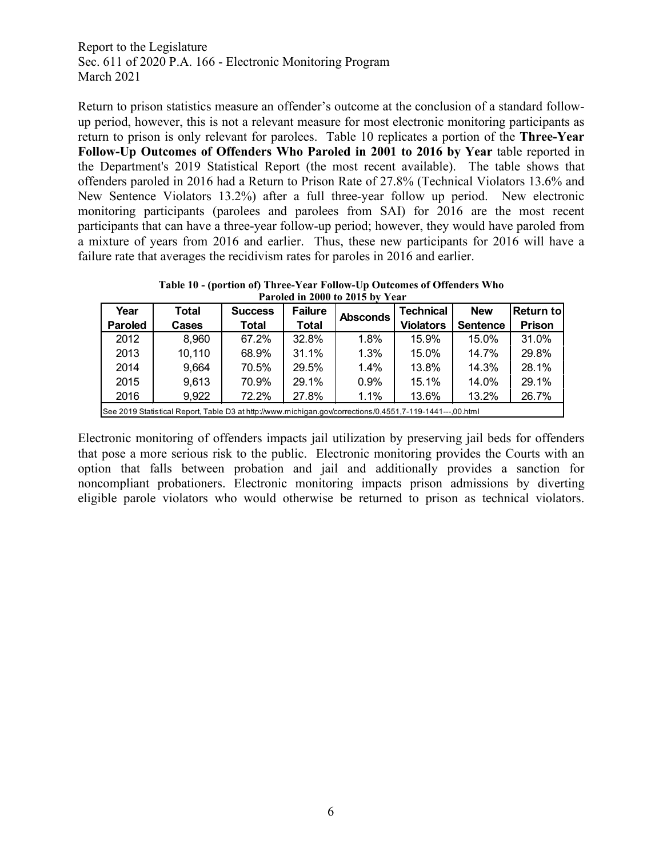Return to prison statistics measure an offender's outcome at the conclusion of a standard followup period, however, this is not a relevant measure for most electronic monitoring participants as return to prison is only relevant for parolees. Table 10 replicates a portion of the **Three-Year Follow-Up Outcomes of Offenders Who Paroled in 2001 to 2016 by Year** table reported in the Department's 2019 Statistical Report (the most recent available). The table shows that offenders paroled in 2016 had a Return to Prison Rate of 27.8% (Technical Violators 13.6% and New Sentence Violators 13.2%) after a full three-year follow up period. New electronic monitoring participants (parolees and parolees from SAI) for 2016 are the most recent participants that can have a three-year follow-up period; however, they would have paroled from a mixture of years from 2016 and earlier. Thus, these new participants for 2016 will have a failure rate that averages the recidivism rates for paroles in 2016 and earlier.

**Table 10 - (portion of) Three-Year Follow-Up Outcomes of Offenders Who Paroled in 2000 to 2015 by Year**

|                                                                                                           |              |                |                | THINK IN TOOD TO TOTAL BY TANK |                  |                 |               |  |
|-----------------------------------------------------------------------------------------------------------|--------------|----------------|----------------|--------------------------------|------------------|-----------------|---------------|--|
| Year                                                                                                      | <b>Total</b> | <b>Success</b> | <b>Failure</b> | <b>Absconds</b>                | <b>Technical</b> | <b>New</b>      | Return to     |  |
| <b>Paroled</b>                                                                                            | Cases        | Total          | Total          |                                | <b>Violators</b> | <b>Sentence</b> | <b>Prison</b> |  |
| 2012                                                                                                      | 8,960        | 67.2%          | 32.8%          | 1.8%                           | 15.9%            | 15.0%           | 31.0%         |  |
| 2013                                                                                                      | 10,110       | 68.9%          | 31.1%          | 1.3%                           | 15.0%            | 14.7%           | 29.8%         |  |
| 2014                                                                                                      | 9,664        | 70.5%          | 29.5%          | 1.4%                           | 13.8%            | 14.3%           | 28.1%         |  |
| 2015                                                                                                      | 9,613        | 70.9%          | 29.1%          | 0.9%                           | 15.1%            | 14.0%           | 29.1%         |  |
| 26.7%<br>72.2%<br>1.1%<br>27.8%<br>2016<br>9,922<br>13.6%<br>13.2%                                        |              |                |                |                                |                  |                 |               |  |
| See 2019 Statistical Report, Table D3 at http://www.michigan.gov/corrections/0.4551.7-119-1441---.00.html |              |                |                |                                |                  |                 |               |  |

Electronic monitoring of offenders impacts jail utilization by preserving jail beds for offenders that pose a more serious risk to the public. Electronic monitoring provides the Courts with an option that falls between probation and jail and additionally provides a sanction for noncompliant probationers. Electronic monitoring impacts prison admissions by diverting eligible parole violators who would otherwise be returned to prison as technical violators.